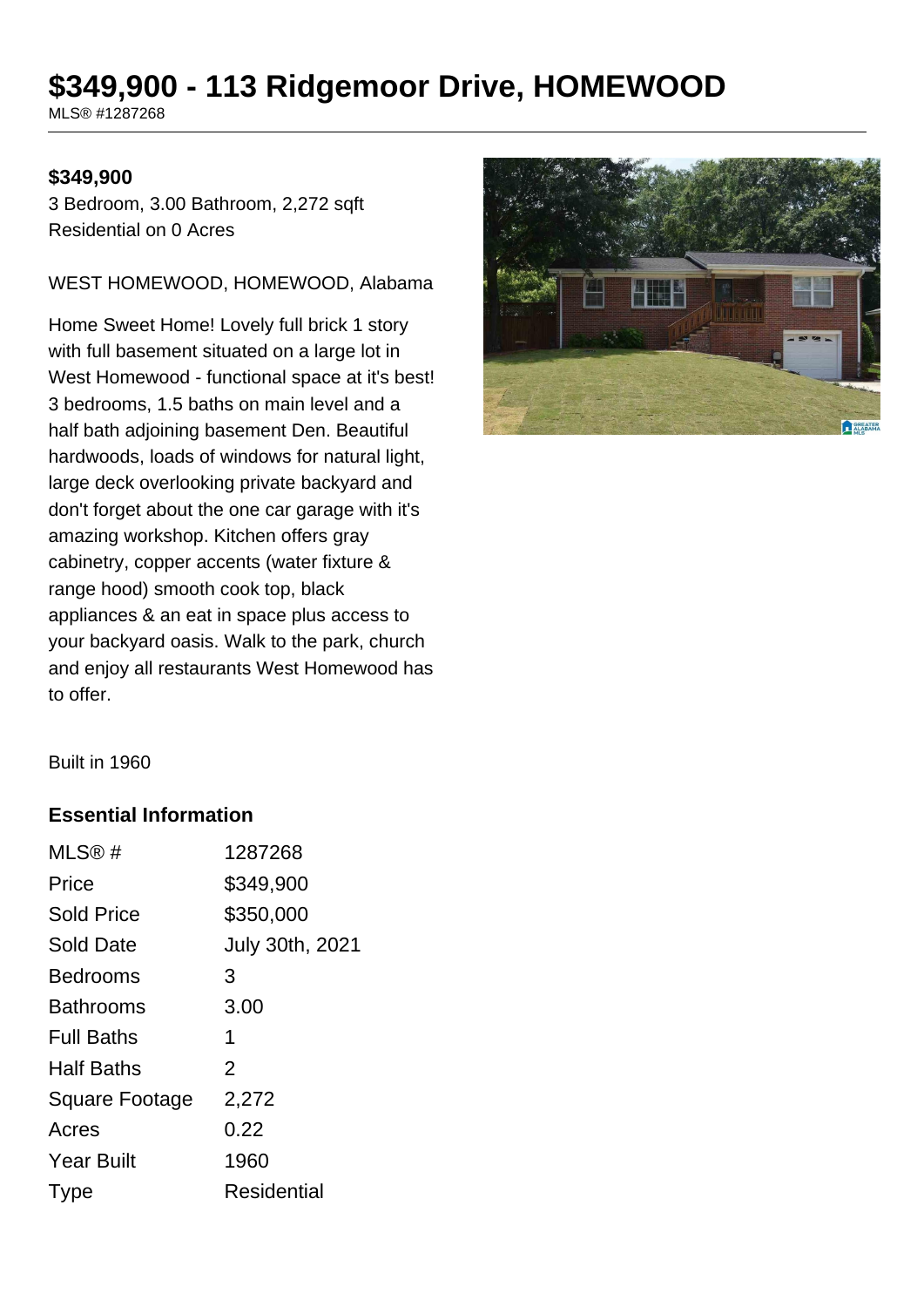# **\$349,900 - 113 Ridgemoor Drive, HOMEWOOD**

MLS® #1287268

#### **\$349,900**

3 Bedroom, 3.00 Bathroom, 2,272 sqft Residential on 0 Acres

WEST HOMEWOOD, HOMEWOOD, Alabama

Home Sweet Home! Lovely full brick 1 story with full basement situated on a large lot in West Homewood - functional space at it's best! 3 bedrooms, 1.5 baths on main level and a half bath adjoining basement Den. Beautiful hardwoods, loads of windows for natural light, large deck overlooking private backyard and don't forget about the one car garage with it's amazing workshop. Kitchen offers gray cabinetry, copper accents (water fixture & range hood) smooth cook top, black appliances & an eat in space plus access to your backyard oasis. Walk to the park, church and enjoy all restaurants West Homewood has to offer.



Built in 1960

#### **Essential Information**

| MLS@#                 | 1287268         |
|-----------------------|-----------------|
| Price                 | \$349,900       |
| <b>Sold Price</b>     | \$350,000       |
| Sold Date             | July 30th, 2021 |
| <b>Bedrooms</b>       | 3               |
| Bathrooms             | 3.00            |
| <b>Full Baths</b>     | 1               |
| <b>Half Baths</b>     | $\overline{2}$  |
| <b>Square Footage</b> | 2,272           |
| Acres                 | 0.22            |
| <b>Year Built</b>     | 1960            |
| I ype                 | Residential     |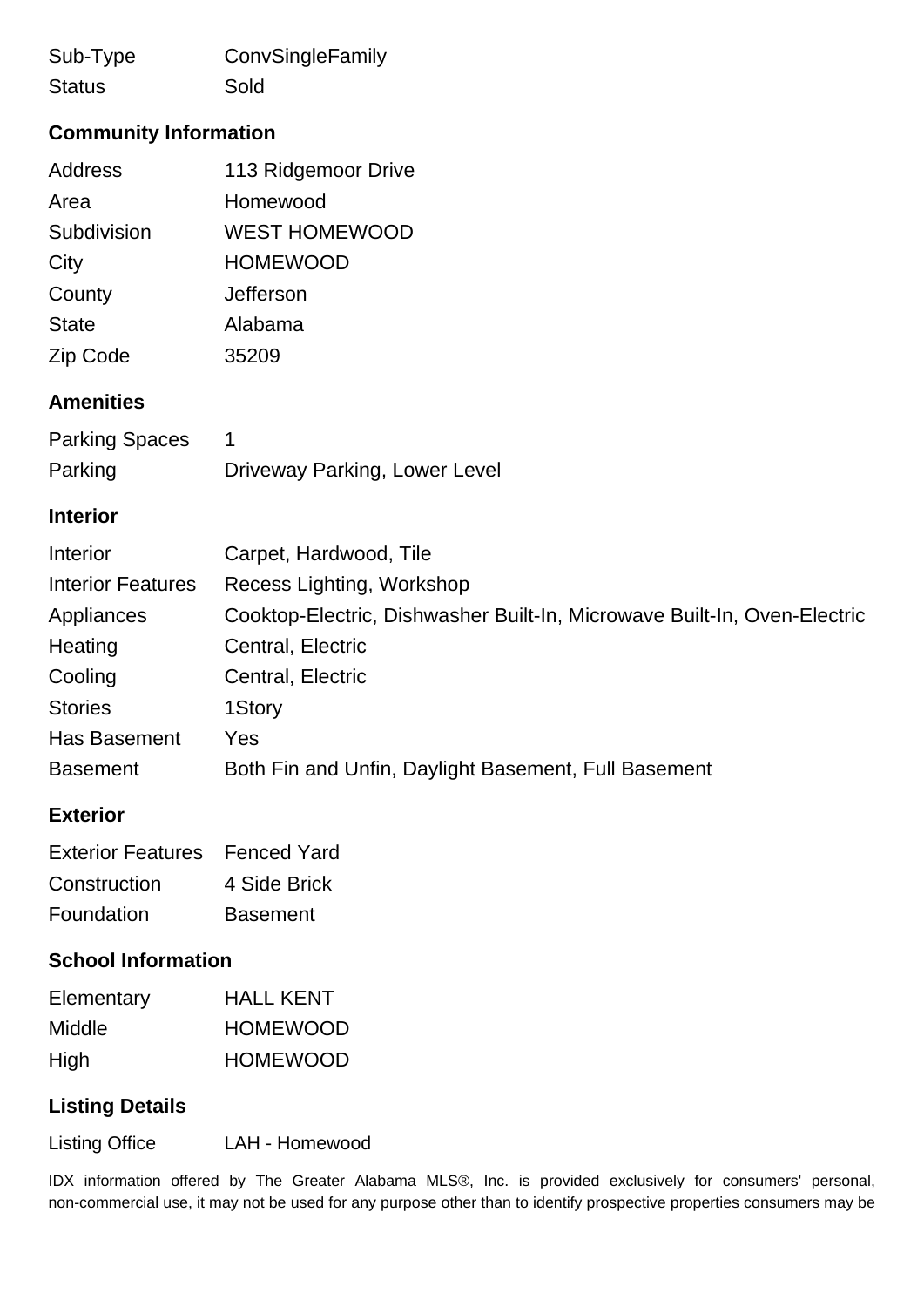| Sub-Type      | ConvSingleFamily |
|---------------|------------------|
| <b>Status</b> | Sold             |

# **Community Information**

| <b>Address</b> | 113 Ridgemoor Drive  |
|----------------|----------------------|
| Area           | Homewood             |
| Subdivision    | <b>WEST HOMEWOOD</b> |
| City           | <b>HOMEWOOD</b>      |
| County         | Jefferson            |
| <b>State</b>   | Alabama              |
| Zip Code       | 35209                |

### **Amenities**

| <b>Parking Spaces</b> |                               |
|-----------------------|-------------------------------|
| Parking               | Driveway Parking, Lower Level |

#### **Interior**

| Interior                 | Carpet, Hardwood, Tile                                                   |
|--------------------------|--------------------------------------------------------------------------|
| <b>Interior Features</b> | Recess Lighting, Workshop                                                |
| Appliances               | Cooktop-Electric, Dishwasher Built-In, Microwave Built-In, Oven-Electric |
| Heating                  | Central, Electric                                                        |
| Cooling                  | Central, Electric                                                        |
| <b>Stories</b>           | 1Story                                                                   |
| <b>Has Basement</b>      | Yes                                                                      |
| <b>Basement</b>          | Both Fin and Unfin, Daylight Basement, Full Basement                     |

## **Exterior**

| <b>Exterior Features</b> Fenced Yard |                 |
|--------------------------------------|-----------------|
| Construction                         | 4 Side Brick    |
| Foundation                           | <b>Basement</b> |

#### **School Information**

| Elementary | <b>HALL KENT</b> |
|------------|------------------|
| Middle     | <b>HOMEWOOD</b>  |
| High       | <b>HOMEWOOD</b>  |

## **Listing Details**

Listing Office LAH - Homewood

IDX information offered by The Greater Alabama MLS®, Inc. is provided exclusively for consumers' personal, non-commercial use, it may not be used for any purpose other than to identify prospective properties consumers may be